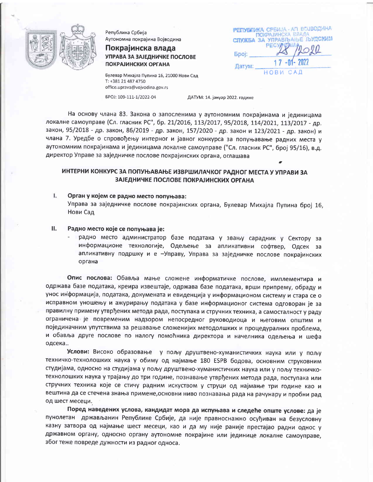

Република Србија Аутономна покрајина Војводина

# Покрајинска влада УПРАВА ЗА ЗАЈЕДНИЧКЕ ПОСЛОВЕ **ПОКРАЈИНСКИХ ОРГАНА**

Булевар Михајла Пупина 16, 21000 Нови Сад T: +381 21 487 4750 office.uprava@vojvodina.gov.rs EPOJ: 109-111-1/2022-04

РЕПУБЛИКА СРБИЈА - АП ВОЈВОДИНА ПОКРАЈИНСКА ЕЛАДА **СЛУЖБА ЗА УПРАВЉАЊЕ ЉУДСКИМ** PEC **Bpoj:** Датум: HOBW CAD

ДАТУМ: 14. јануар 2022. године

На основу члана 83. Закона о запосленима у аутономним покрајинама и јединицама локалне самоуправе (Сл. гласник РС", бр. 21/2016, 113/2017, 95/2018, 114/2021, 113/2017 - др. закон, 95/2018 - др. закон, 86/2019 - др. закон, 157/2020 - др. закон и 123/2021 - др. закон) и члана 7. Уредбе о спровођењу интерног и јавног конкурса за попуњавање радних места у аутономним покрајинама и јединицама локалне самоуправе ("Сл. гласник РС", број 95/16), в.д. директор Управе за заједничке послове покрајинских органа, оглашава

# ИНТЕРНИ КОНКУРС ЗА ПОПУЊАВАЊЕ ИЗВРШИЛАЧКОГ РАДНОГ МЕСТА У УПРАВИ ЗА ЗАЈЕДНИЧКЕ ПОСЛОВЕ ПОКРАЈИНСКИХ ОРГАНА

- L Орган у којем се радно место попуњава: Управа за заједничке послове покрајинских органа, Булевар Михајла Пупина број 16, Нови Сад
- П. Радно место које се попуњава је:
	- радно место администратор базе података у звању сарадник у Сектору за информационе технологије, Одељење за апликативни софтвер, Одсек за апликативну подршку и е -Управу, Управа за заједничке послове покрајинских органа

Опис послова: Обавља мање сложене информатичке послове, имплементира и одржава базе података, креира извештаје, одржава базе података, врши припрему, обраду и унос информација, података, докумената и евиденција у информационом систему и стара се о исправном уношењу и ажурирању података у базе информационог система одговоран је за правилну примену утврђених метода рада, поступака и стручних техника, а самосталност у раду ограничена је повременим надзором непосредног руководиоца и његовим општим и појединачним упутствима за решавање сложенијих методолшких и процедуралних проблема, и обавља друге послове по налогу помоћника директора и начелника одељења и шефа одсека..

Услови: Високо образовање у пољу друштвено-хуманистичких наука или у пољу техничко-технолошких наука у обиму од најмање 180 ESPB бодова, основним струковним студијама, односно на студијама у пољу друштвено-хуманистичких наука или у пољу техничкотехнолошких наука у трајању до три године, познавање утврђених метода рада, поступака или стручних техника које се стичу радним искуством у струци од најмање три године као и вештина да се стечена знања примене, основни ниво познавања рада на рачунару и пробни рад од шест месеци.

Поред наведених услова, кандидат мора да испуњава и следеће опште услове: да је пунолетан држављанин Републике Србије, да није правноснажно осуђиван на безусловну казну затвора од најмање шест месеци, као и да му није раније престајао радни однос у државном органу, односно органу аутономне покрајине или јединице локалне самоуправе, због теже повреде дужности из радног односа.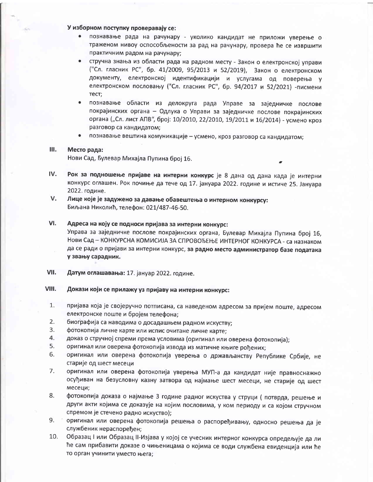## У изборном поступку проверавају се:

- познавање рада на рачунару уколико кандидат не приложи уверење о траженом нивоу оспособљености за рад на рачунару, провера ће се извршити практичним радом на рачунару;
- стручна знања из области рада на радном месту Закон о електронској управи  $\bullet$ ("Сл. гласник РС", бр. 41/2009, 95/2013 и 52/2019), Закон о електронском документу, електронској идентификацији и услугама од поверења у електронском пословању ("Сл. гласник РС", бр. 94/2017 и 52/2021) -писмени тест;
- $\bullet$ познавање области из делокруга рада Управе за заједничке послове покрајинских органа - Одлука о Управи за заједничке послове покрајинских органа ("Сл. лист АПВ", број: 10/2010, 22/2010, 19/2011 и 16/2014) - усмено кроз разговор са кандидатом;
- познавање вештина комуникације усмено, кроз разговор са кандидатом;

#### Ш. Место рада:

Нови Сад, Булевар Михајла Пупина број 16.

- IV. Рок за подношење пријаве на интерни конкурс је 8 дана од дана када је интерни конкурс оглашен. Рок почиње да тече од 17. јануара 2022. године и истиче 25. Јануара 2022. године.
- V. Лице које је задужено за давање обавештења о интерном конкурсу: Биљана Николић, телефон: 021/487-46-50.

### VI. Адреса на коју се подноси пријава за интерни конкурс:

Управа за заједничке послове покрајинских органа, Булевар Михајла Пупина број 16, Нови Сад - КОНКУРСНА КОМИСИЈА ЗА СПРОВОЂЕЊЕ ИНТЕРНОГ КОНКУРСА - са назнаком да се ради о пријави за интерни конкурс, за радно место администратор базе података у звању сарадник.

- VII. Датум оглашавања: 17. јануар 2022. године.
- VIII. Докази који се прилажу уз пријаву на интерни конкурс:
- $1.$ пријава која је својеручно потписана, са наведеном адресом за пријем поште, адресом електронске поште и бројем телефона;
- $2.$ биографија са наводима о досадашњем радном искуству;
- $3.$ фотокопија личне карте или испис очитане личне карте;
- 4. доказ о стручној спреми према условима (оригинал или оверена фотокопија);
- 5. оригинал или оверена фотокопија извода из матичне књиге рођених;
- 6. оригинал или оверена фотокопија уверења о држављанству Републике Србије, не старије од шест месеци
- 7. оригинал или оверена фотокопија уверења МУП-а да кандидат није правноснажно осуђиван на безусловну казну затвора од најмање шест месеци, не старије од шест месеци;
- 8. фотокопија доказа о најмање 3 године радног искуства у струци (потврда, решење и други акти којима се доказује на којим пословима, у ком периоду и са којом стручном спремом је стечено радно искуство);
- 9. оригинал или оверена фотокопија решења о распоређивању, односно решења да је службеник нераспоређен;
- $10.$ Образац I или Образац II-Изјава у којој се учесник интерног конкурса опредељује да ли ће сам прибавити доказе о чињеницама о којима се води службена евиденција или ће то орган учинити уместо њега;